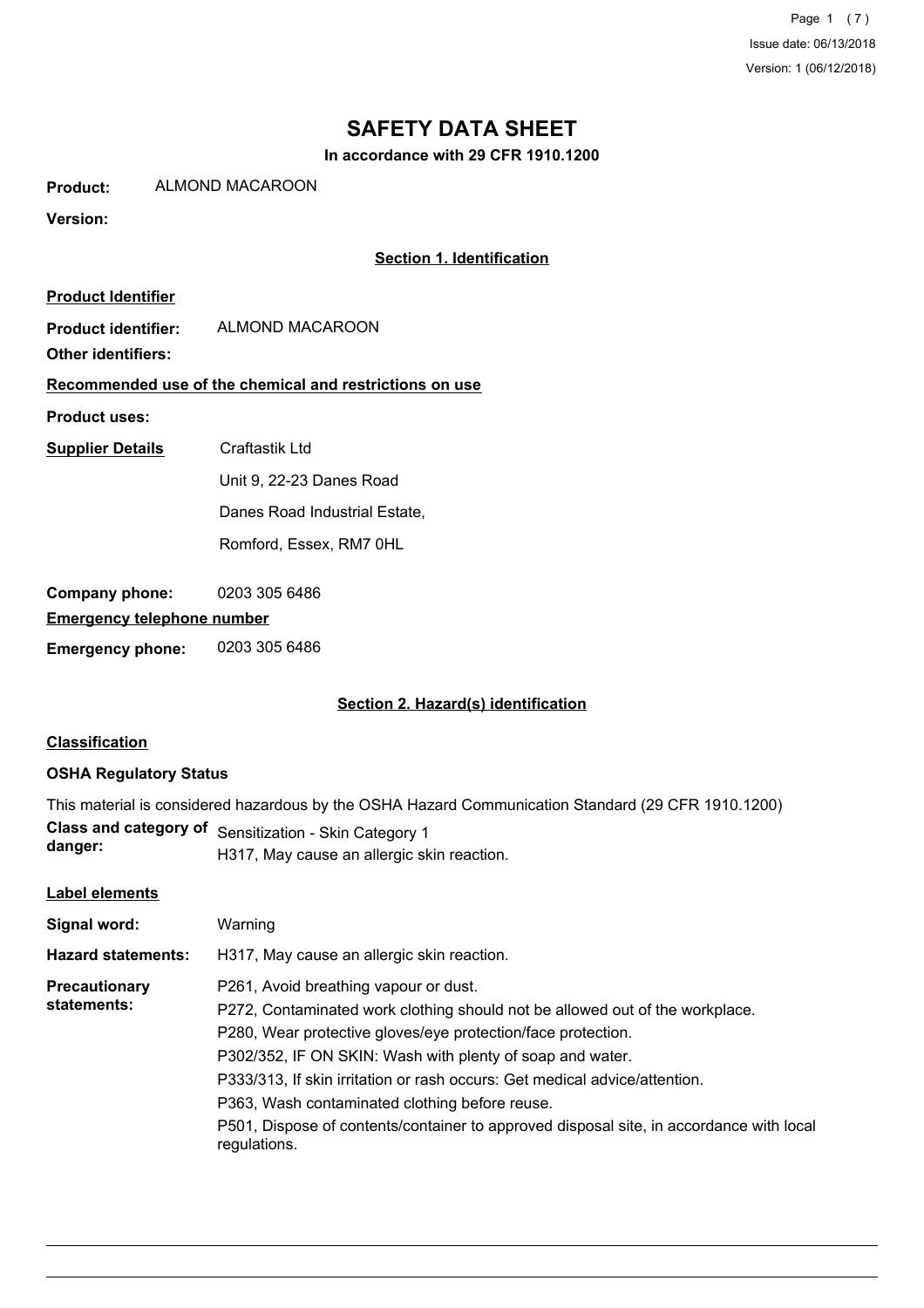Page 1 (7) Issue date: 06/13/2018 Version: 1 (06/12/2018)

# **SAFETY DATA SHEET**

**In accordance with 29 CFR 1910.1200**

**Product:** ALMOND MACAROON

### **Version:**

### **Section 1. Identification**

| <b>Product Identifier</b>         |                                                         |
|-----------------------------------|---------------------------------------------------------|
| <b>Product identifier:</b>        | ALMOND MACAROON                                         |
| <b>Other identifiers:</b>         |                                                         |
|                                   | Recommended use of the chemical and restrictions on use |
| <b>Product uses:</b>              |                                                         |
| <b>Supplier Details</b>           | Craftastik Ltd                                          |
|                                   | Unit 9, 22-23 Danes Road                                |
|                                   | Danes Road Industrial Estate,                           |
|                                   | Romford. Essex. RM7 0HL                                 |
|                                   |                                                         |
| Company phone:                    | 0203 305 6486                                           |
| <b>Emergency telephone number</b> |                                                         |

**Emergency phone:** 0203 305 6486

#### **Section 2. Hazard(s) identification**

### **Classification**

### **OSHA Regulatory Status**

|         | This material is considered hazardous by the OSHA Hazard Communication Standard (29 CFR 1910.1200) |
|---------|----------------------------------------------------------------------------------------------------|
|         | <b>Class and category of Sensitization - Skin Category 1</b>                                       |
| danger: | LO17 Mov couse an ellergia akin reportion                                                          |

# H317, May cause an allergic skin reaction.

#### **Label elements**

| Signal word:                        | Warning                                                                                                                                                                                                                                                                                                                                                                                                                                                                                       |
|-------------------------------------|-----------------------------------------------------------------------------------------------------------------------------------------------------------------------------------------------------------------------------------------------------------------------------------------------------------------------------------------------------------------------------------------------------------------------------------------------------------------------------------------------|
| <b>Hazard statements:</b>           | H317, May cause an allergic skin reaction.                                                                                                                                                                                                                                                                                                                                                                                                                                                    |
| <b>Precautionary</b><br>statements: | P261, Avoid breathing vapour or dust.<br>P272, Contaminated work clothing should not be allowed out of the workplace.<br>P280, Wear protective gloves/eye protection/face protection.<br>P302/352, IF ON SKIN: Wash with plenty of soap and water.<br>P333/313, If skin irritation or rash occurs: Get medical advice/attention.<br>P363, Wash contaminated clothing before reuse.<br>P501, Dispose of contents/container to approved disposal site, in accordance with local<br>regulations. |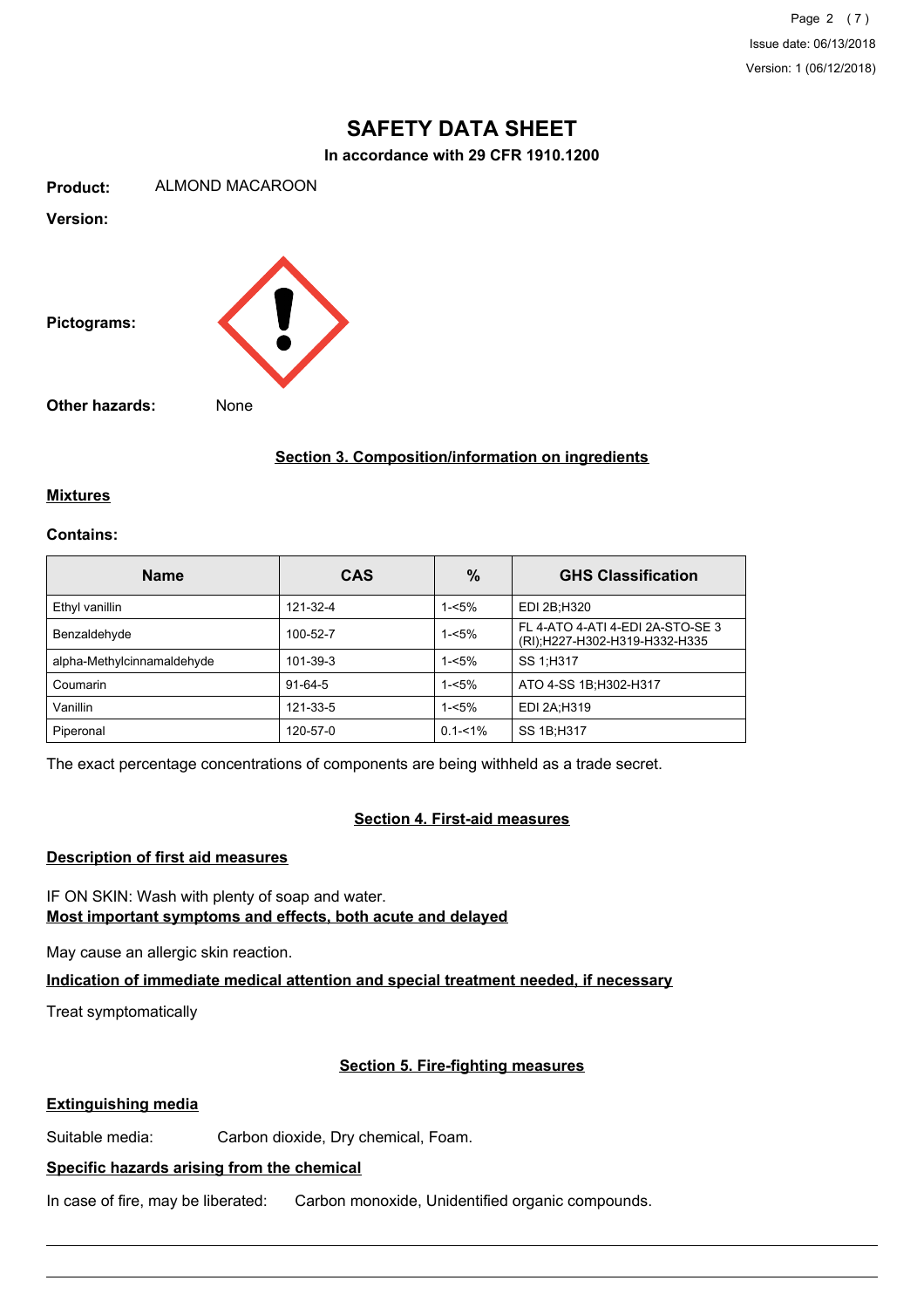Page 2 (7) Issue date: 06/13/2018 Version: 1 (06/12/2018)

# **SAFETY DATA SHEET**

**In accordance with 29 CFR 1910.1200**

**Product:** ALMOND MACAROON

**Version:**



**Section 3. Composition/information on ingredients**

#### **Mixtures**

#### **Contains:**

| <b>Name</b>                | <b>CAS</b> | $\%$        | <b>GHS Classification</b>                                         |
|----------------------------|------------|-------------|-------------------------------------------------------------------|
| Ethyl vanillin             | 121-32-4   | $1 - 5%$    | EDI 2B:H320                                                       |
| Benzaldehyde               | 100-52-7   | $1 - 5%$    | FL 4-ATO 4-ATI 4-EDI 2A-STO-SE 3<br>(RI);H227-H302-H319-H332-H335 |
| alpha-Methylcinnamaldehyde | 101-39-3   | $1 - 5%$    | SS 1:H317                                                         |
| Coumarin                   | $91-64-5$  | $1 - 5%$    | ATO 4-SS 1B; H302-H317                                            |
| Vanillin                   | 121-33-5   | $1 - 5%$    | EDI 2A:H319                                                       |
| Piperonal                  | 120-57-0   | $0.1 - 1\%$ | SS 1B; H317                                                       |

The exact percentage concentrations of components are being withheld as a trade secret.

#### **Section 4. First-aid measures**

# **Description of first aid measures**

IF ON SKIN: Wash with plenty of soap and water. **Most important symptoms and effects, both acute and delayed**

May cause an allergic skin reaction.

**Indication of immediate medical attention and special treatment needed, if necessary**

Treat symptomatically

## **Section 5. Fire-fighting measures**

#### **Extinguishing media**

Suitable media: Carbon dioxide, Dry chemical, Foam.

# **Specific hazards arising from the chemical**

In case of fire, may be liberated: Carbon monoxide, Unidentified organic compounds.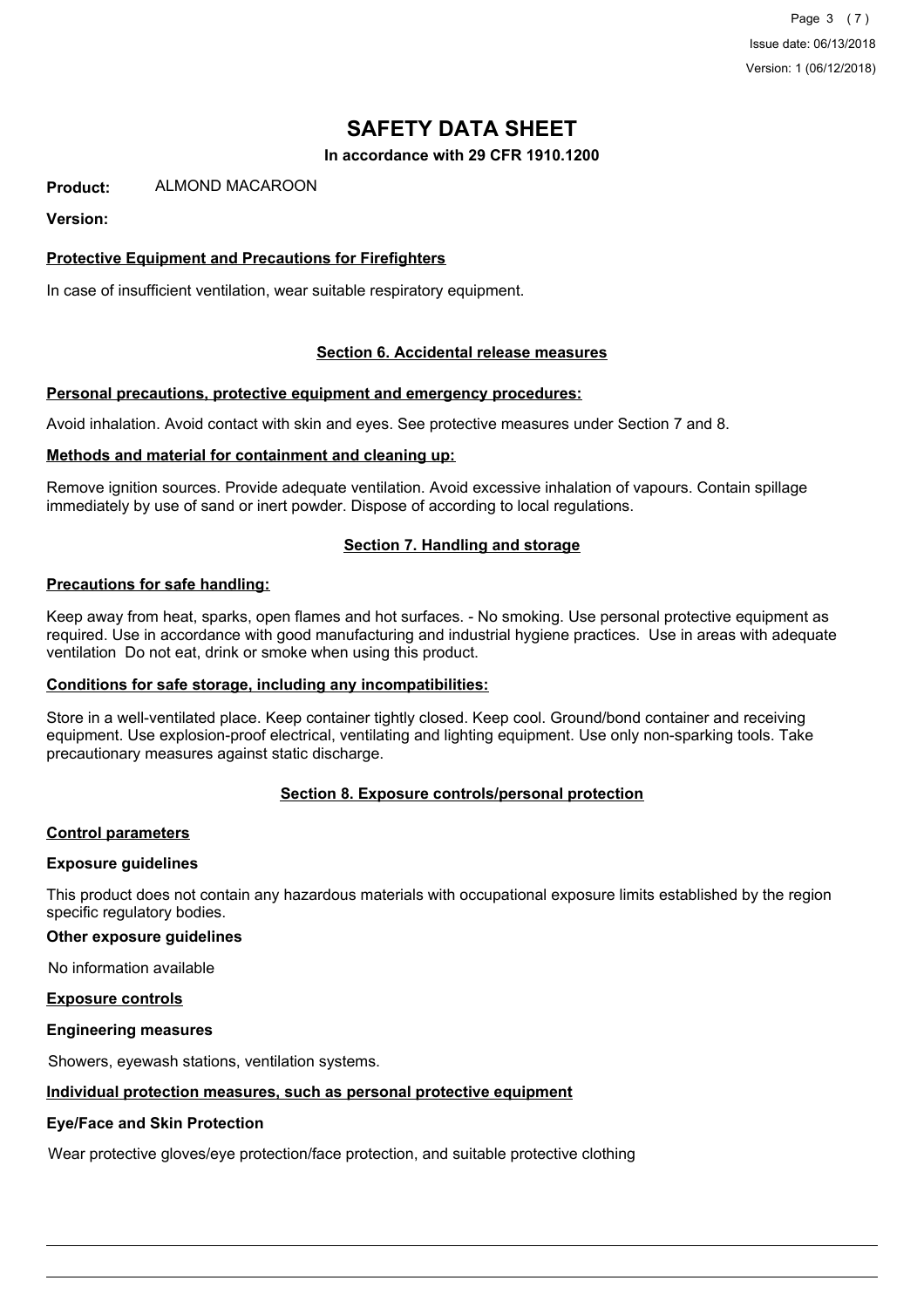Page 3 (7) Issue date: 06/13/2018 Version: 1 (06/12/2018)

# **SAFETY DATA SHEET**

**In accordance with 29 CFR 1910.1200**

**Product:** ALMOND MACAROON

#### **Version:**

### **Protective Equipment and Precautions for Firefighters**

In case of insufficient ventilation, wear suitable respiratory equipment.

#### **Section 6. Accidental release measures**

#### **Personal precautions, protective equipment and emergency procedures:**

Avoid inhalation. Avoid contact with skin and eyes. See protective measures under Section 7 and 8.

#### **Methods and material for containment and cleaning up:**

Remove ignition sources. Provide adequate ventilation. Avoid excessive inhalation of vapours. Contain spillage immediately by use of sand or inert powder. Dispose of according to local regulations.

#### **Section 7. Handling and storage**

#### **Precautions for safe handling:**

Keep away from heat, sparks, open flames and hot surfaces. - No smoking. Use personal protective equipment as required. Use in accordance with good manufacturing and industrial hygiene practices. Use in areas with adequate ventilation Do not eat, drink or smoke when using this product.

#### **Conditions for safe storage, including any incompatibilities:**

Store in a well-ventilated place. Keep container tightly closed. Keep cool. Ground/bond container and receiving equipment. Use explosion-proof electrical, ventilating and lighting equipment. Use only non-sparking tools. Take precautionary measures against static discharge.

#### **Section 8. Exposure controls/personal protection**

#### **Control parameters**

#### **Exposure guidelines**

This product does not contain any hazardous materials with occupational exposure limits established by the region specific regulatory bodies.

#### **Other exposure guidelines**

No information available

#### **Exposure controls**

#### **Engineering measures**

Showers, eyewash stations, ventilation systems.

#### **Individual protection measures, such as personal protective equipment**

#### **Eye/Face and Skin Protection**

Wear protective gloves/eye protection/face protection, and suitable protective clothing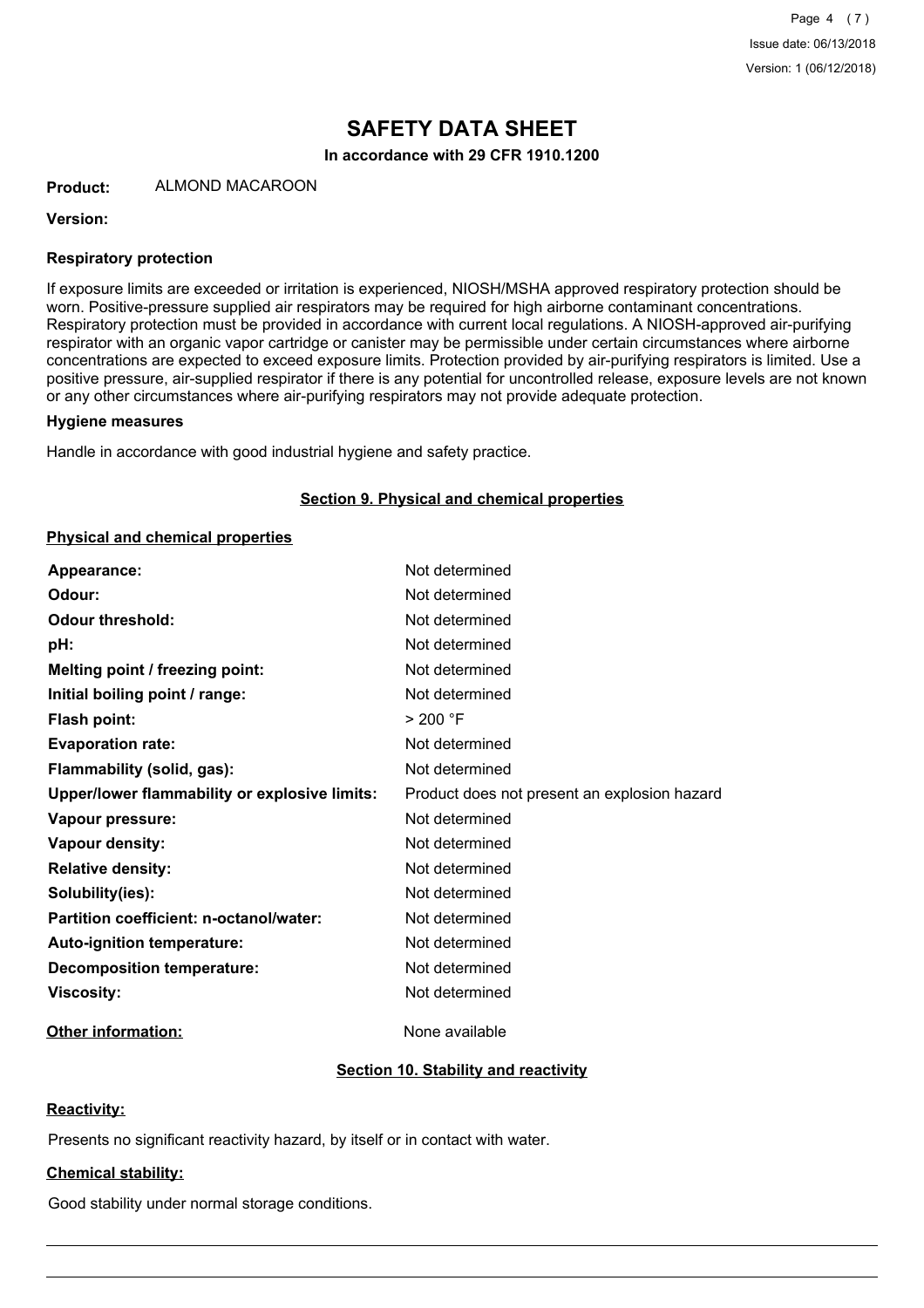# **SAFETY DATA SHEET**

**In accordance with 29 CFR 1910.1200**

**Product:** ALMOND MACAROON

#### **Version:**

#### **Respiratory protection**

If exposure limits are exceeded or irritation is experienced, NIOSH/MSHA approved respiratory protection should be worn. Positive-pressure supplied air respirators may be required for high airborne contaminant concentrations. Respiratory protection must be provided in accordance with current local regulations. A NIOSH-approved air-purifying respirator with an organic vapor cartridge or canister may be permissible under certain circumstances where airborne concentrations are expected to exceed exposure limits. Protection provided by air-purifying respirators is limited. Use a positive pressure, air-supplied respirator if there is any potential for uncontrolled release, exposure levels are not known or any other circumstances where air-purifying respirators may not provide adequate protection.

#### **Hygiene measures**

Handle in accordance with good industrial hygiene and safety practice.

#### **Section 9. Physical and chemical properties**

#### **Physical and chemical properties**

| Appearance:                                          | Not determined                               |
|------------------------------------------------------|----------------------------------------------|
| Odour:                                               | Not determined                               |
| <b>Odour threshold:</b>                              | Not determined                               |
| pH:                                                  | Not determined                               |
| Melting point / freezing point:                      | Not determined                               |
| Initial boiling point / range:                       | Not determined                               |
| <b>Flash point:</b>                                  | > 200 °F                                     |
| <b>Evaporation rate:</b>                             | Not determined                               |
| Flammability (solid, gas):                           | Not determined                               |
| <b>Upper/lower flammability or explosive limits:</b> | Product does not present an explosion hazard |
| Vapour pressure:                                     | Not determined                               |
| <b>Vapour density:</b>                               | Not determined                               |
| <b>Relative density:</b>                             | Not determined                               |
| Solubility(ies):                                     | Not determined                               |
| Partition coefficient: n-octanol/water:              | Not determined                               |
| Auto-ignition temperature:                           | Not determined                               |
| <b>Decomposition temperature:</b>                    | Not determined                               |
| <b>Viscosity:</b>                                    | Not determined                               |

### **Other information:** None available

#### **Section 10. Stability and reactivity**

#### **Reactivity:**

Presents no significant reactivity hazard, by itself or in contact with water.

## **Chemical stability:**

Good stability under normal storage conditions.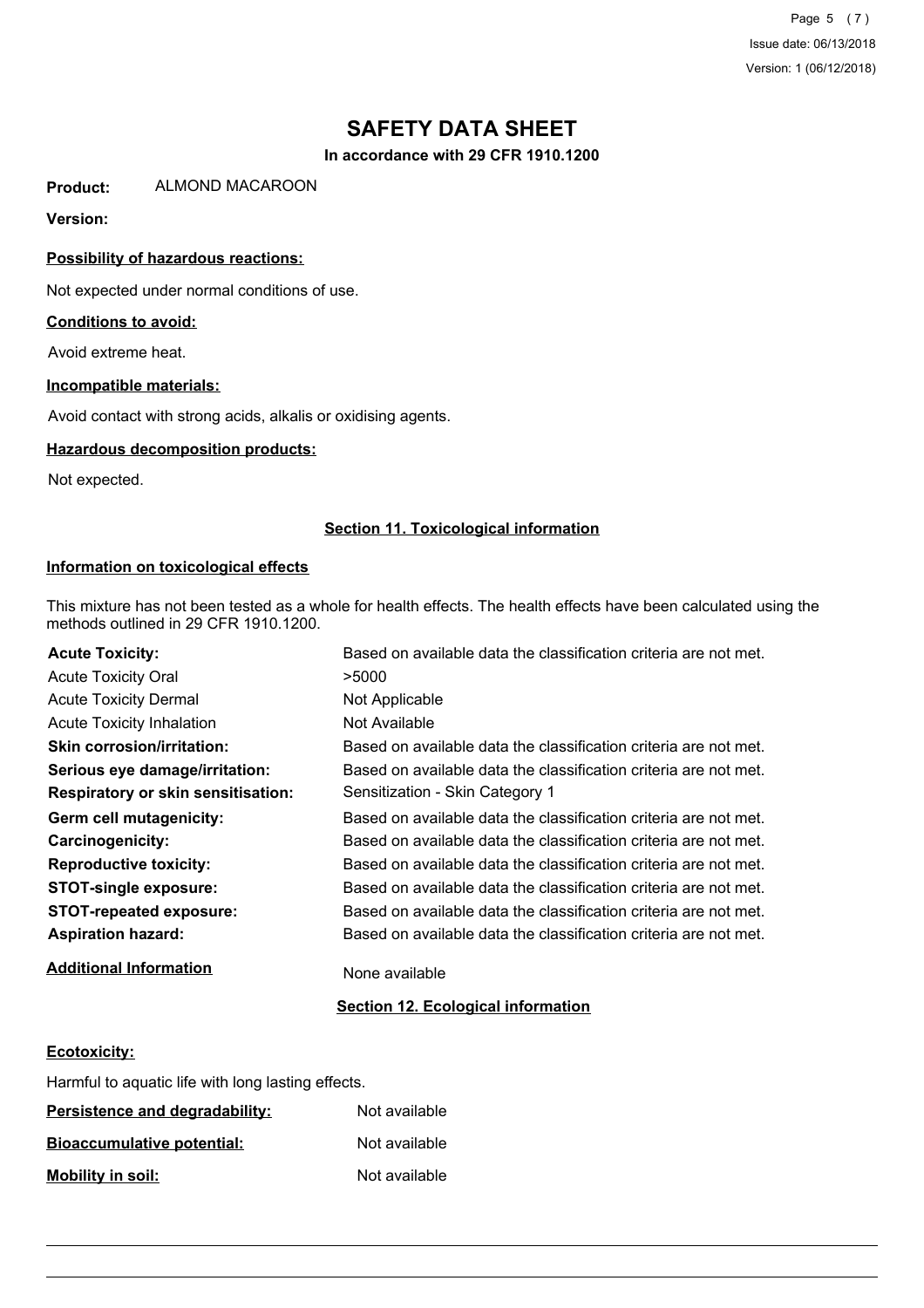Page 5 (7) Issue date: 06/13/2018 Version: 1 (06/12/2018)

# **SAFETY DATA SHEET**

**In accordance with 29 CFR 1910.1200**

**Product:** ALMOND MACAROON

### **Version:**

### **Possibility of hazardous reactions:**

Not expected under normal conditions of use.

#### **Conditions to avoid:**

Avoid extreme heat.

#### **Incompatible materials:**

Avoid contact with strong acids, alkalis or oxidising agents.

#### **Hazardous decomposition products:**

Not expected.

#### **Section 11. Toxicological information**

#### **Information on toxicological effects**

This mixture has not been tested as a whole for health effects. The health effects have been calculated using the methods outlined in 29 CFR 1910.1200.

| <b>Acute Toxicity:</b>                    | Based on available data the classification criteria are not met. |
|-------------------------------------------|------------------------------------------------------------------|
| <b>Acute Toxicity Oral</b>                | >5000                                                            |
| <b>Acute Toxicity Dermal</b>              | Not Applicable                                                   |
| <b>Acute Toxicity Inhalation</b>          | Not Available                                                    |
| <b>Skin corrosion/irritation:</b>         | Based on available data the classification criteria are not met. |
| Serious eye damage/irritation:            | Based on available data the classification criteria are not met. |
| <b>Respiratory or skin sensitisation:</b> | Sensitization - Skin Category 1                                  |
| Germ cell mutagenicity:                   | Based on available data the classification criteria are not met. |
| <b>Carcinogenicity:</b>                   | Based on available data the classification criteria are not met. |
| <b>Reproductive toxicity:</b>             | Based on available data the classification criteria are not met. |
| <b>STOT-single exposure:</b>              | Based on available data the classification criteria are not met. |
| <b>STOT-repeated exposure:</b>            | Based on available data the classification criteria are not met. |
| <b>Aspiration hazard:</b>                 | Based on available data the classification criteria are not met. |
| <b>Additional Information</b>             | None available                                                   |

### **Section 12. Ecological information**

### **Ecotoxicity:**

Harmful to aquatic life with long lasting effects.

| Persistence and degradability:    | Not available |
|-----------------------------------|---------------|
| <b>Bioaccumulative potential:</b> | Not available |
| <b>Mobility in soil:</b>          | Not available |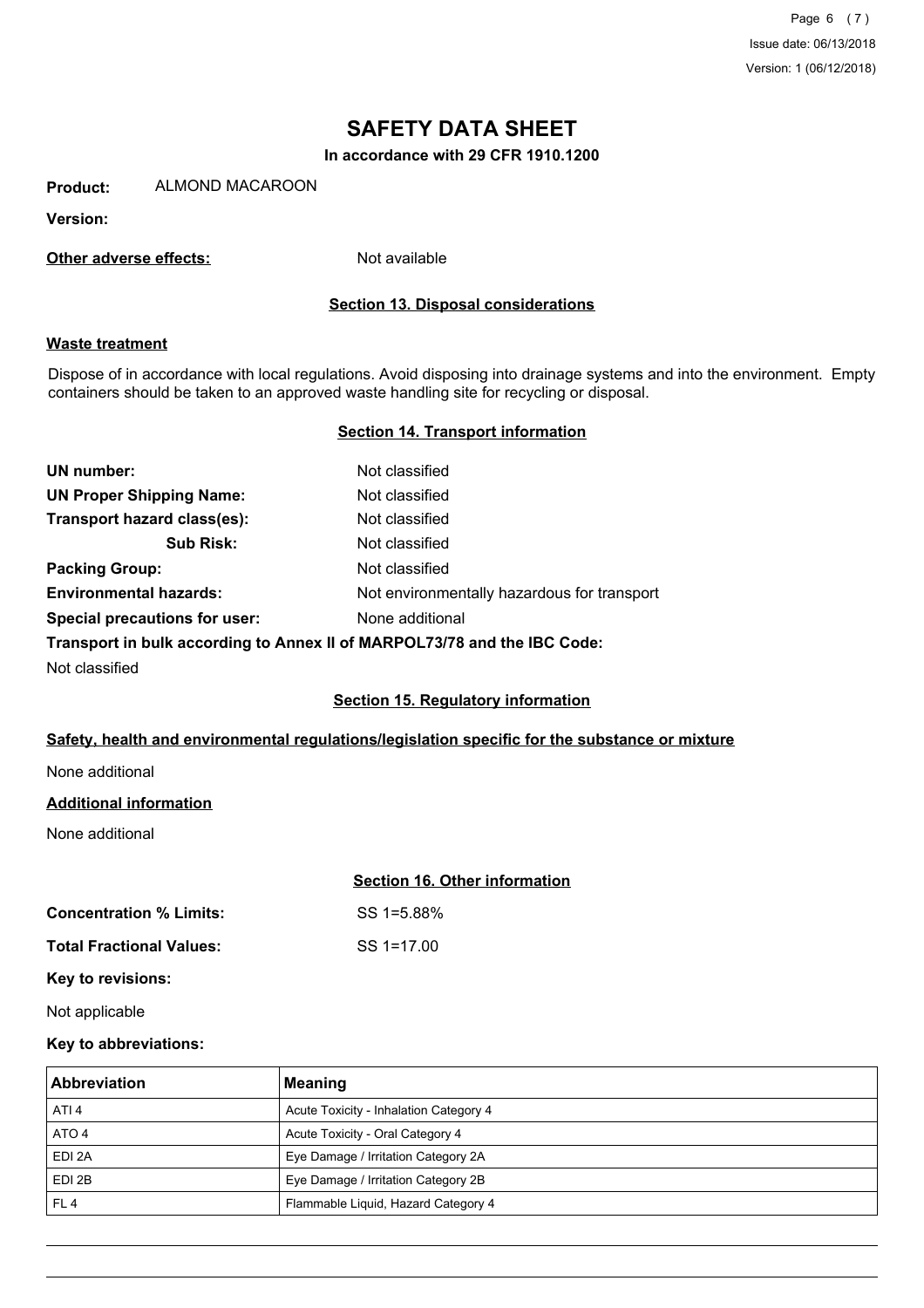Page 6 (7) Issue date: 06/13/2018 Version: 1 (06/12/2018)

# **SAFETY DATA SHEET**

**In accordance with 29 CFR 1910.1200**

**Product:** ALMOND MACAROON

**Version:**

**Other adverse effects:** Not available

#### **Section 13. Disposal considerations**

#### **Waste treatment**

Dispose of in accordance with local regulations. Avoid disposing into drainage systems and into the environment. Empty containers should be taken to an approved waste handling site for recycling or disposal.

#### **Section 14. Transport information**

| UN number:                           | Not classified                                                           |
|--------------------------------------|--------------------------------------------------------------------------|
| <b>UN Proper Shipping Name:</b>      | Not classified                                                           |
| Transport hazard class(es):          | Not classified                                                           |
| <b>Sub Risk:</b>                     | Not classified                                                           |
| <b>Packing Group:</b>                | Not classified                                                           |
| <b>Environmental hazards:</b>        | Not environmentally hazardous for transport                              |
| <b>Special precautions for user:</b> | None additional                                                          |
|                                      | Transport in bulk according to Annex II of MARPOL73/78 and the IBC Code: |

Not classified

#### **Section 15. Regulatory information**

### **Safety, health and environmental regulations/legislation specific for the substance or mixture**

None additional

#### **Additional information**

None additional

#### **Section 16. Other information**

**Concentration % Limits:** SS 1=5.88%

**Total Fractional Values:** SS 1=17.00

**Key to revisions:**

Not applicable

#### **Key to abbreviations:**

| <b>Abbreviation</b> | Meaning                                |
|---------------------|----------------------------------------|
| ATI <sub>4</sub>    | Acute Toxicity - Inhalation Category 4 |
| ATO 4               | Acute Toxicity - Oral Category 4       |
| EDI 2A              | Eye Damage / Irritation Category 2A    |
| EDI 2B              | Eye Damage / Irritation Category 2B    |
| FL <sub>4</sub>     | Flammable Liquid, Hazard Category 4    |